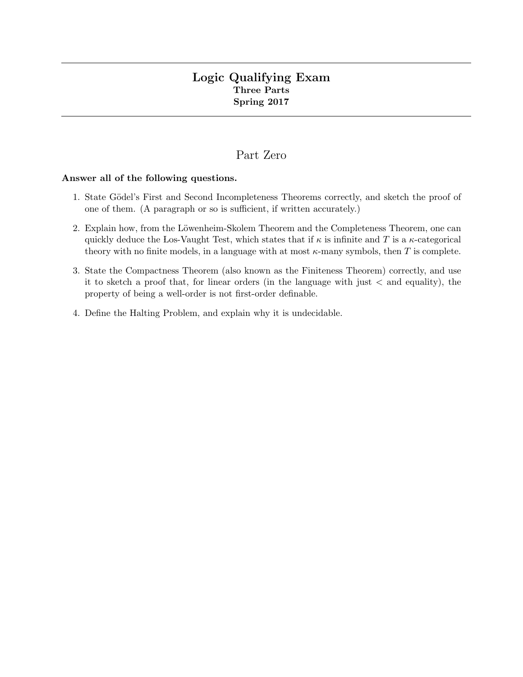## Logic Qualifying Exam Three Parts Spring 2017

# Part Zero

#### Answer all of the following questions.

- 1. State Gödel's First and Second Incompleteness Theorems correctly, and sketch the proof of one of them. (A paragraph or so is sufficient, if written accurately.)
- 2. Explain how, from the Löwenheim-Skolem Theorem and the Completeness Theorem, one can quickly deduce the Los-Vaught Test, which states that if  $\kappa$  is infinite and T is a  $\kappa$ -categorical theory with no finite models, in a language with at most  $\kappa$ -many symbols, then T is complete.
- 3. State the Compactness Theorem (also known as the Finiteness Theorem) correctly, and use it to sketch a proof that, for linear orders (in the language with just  $\lt$  and equality), the property of being a well-order is not first-order definable.
- 4. Define the Halting Problem, and explain why it is undecidable.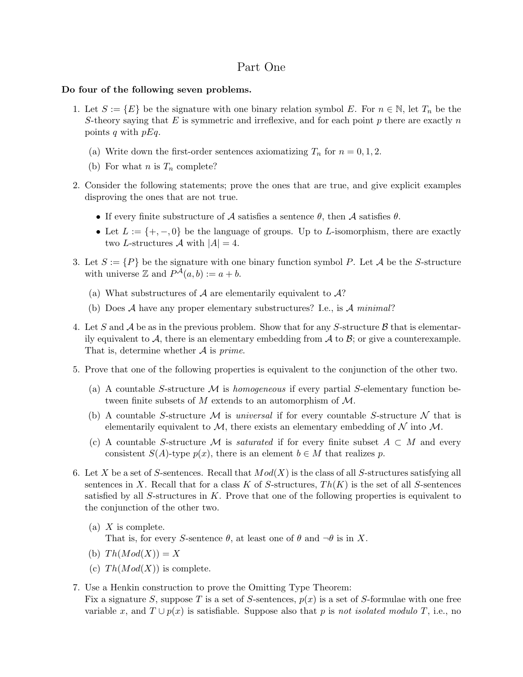### Part One

#### Do four of the following seven problems.

- 1. Let  $S := \{E\}$  be the signature with one binary relation symbol E. For  $n \in \mathbb{N}$ , let  $T_n$  be the S-theory saying that  $E$  is symmetric and irreflexive, and for each point  $p$  there are exactly  $n$ points q with  $pEq.$ 
	- (a) Write down the first-order sentences axiomatizing  $T_n$  for  $n = 0, 1, 2$ .
	- (b) For what *n* is  $T_n$  complete?
- 2. Consider the following statements; prove the ones that are true, and give explicit examples disproving the ones that are not true.
	- If every finite substructure of A satisfies a sentence  $\theta$ , then A satisfies  $\theta$ .
	- Let  $L := \{+, -, 0\}$  be the language of groups. Up to L-isomorphism, there are exactly two L-structures  $\mathcal A$  with  $|A|=4$ .
- 3. Let  $S := \{P\}$  be the signature with one binary function symbol P. Let A be the S-structure with universe  $\mathbb Z$  and  $P^{\mathcal A}(a,b) := a + b$ .
	- (a) What substructures of A are elementarily equivalent to  $A$ ?
	- (b) Does A have any proper elementary substructures? I.e., is A minimal?
- 4. Let S and A be as in the previous problem. Show that for any S-structure B that is elementarily equivalent to  $A$ , there is an elementary embedding from  $A$  to  $B$ ; or give a counterexample. That is, determine whether  $A$  is *prime*.
- 5. Prove that one of the following properties is equivalent to the conjunction of the other two.
	- (a) A countable S-structure  $\mathcal M$  is homogeneous if every partial S-elementary function between finite subsets of M extends to an automorphism of M.
	- (b) A countable S-structure M is universal if for every countable S-structure N that is elementarily equivalent to  $\mathcal{M}$ , there exists an elementary embedding of  $\mathcal N$  into  $\mathcal M$ .
	- (c) A countable S-structure M is *saturated* if for every finite subset  $A \subset M$  and every consistent  $S(A)$ -type  $p(x)$ , there is an element  $b \in M$  that realizes p.
- 6. Let X be a set of S-sentences. Recall that  $Mod(X)$  is the class of all S-structures satisfying all sentences in X. Recall that for a class K of S-structures,  $Th(K)$  is the set of all S-sentences satisfied by all  $S$ -structures in  $K$ . Prove that one of the following properties is equivalent to the conjunction of the other two.
	- (a)  $X$  is complete. That is, for every S-sentence  $\theta$ , at least one of  $\theta$  and  $\neg \theta$  is in X.
	- (b)  $Th(Mod(X)) = X$
	- (c)  $Th(Mod(X))$  is complete.
- 7. Use a Henkin construction to prove the Omitting Type Theorem: Fix a signature S, suppose T is a set of S-sentences,  $p(x)$  is a set of S-formulae with one free variable x, and  $T \cup p(x)$  is satisfiable. Suppose also that p is not isolated modulo T, i.e., no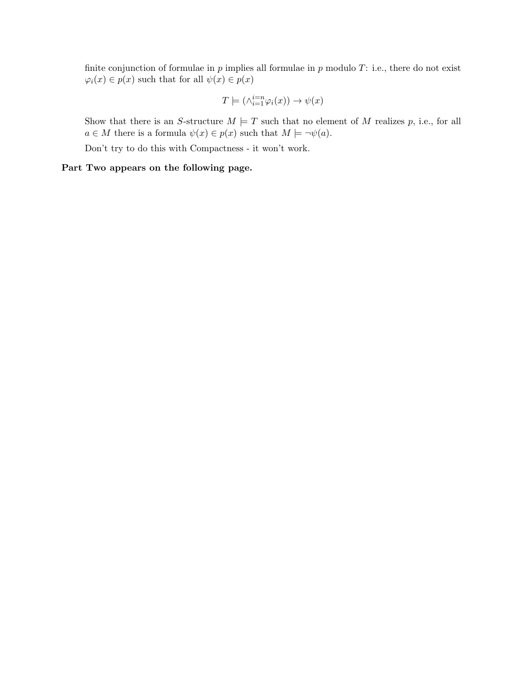finite conjunction of formulae in  $p$  implies all formulae in  $p$  modulo  $T$ : i.e., there do not exist  $\varphi_i(x) \in p(x)$  such that for all  $\psi(x) \in p(x)$ 

$$
T \models (\wedge^{i=n}_{i=1} \varphi_i(x)) \rightarrow \psi(x)
$$

Show that there is an S-structure  $M \models T$  such that no element of M realizes p, i.e., for all  $a \in M$  there is a formula  $\psi(x) \in p(x)$  such that  $M \models \neg \psi(a)$ .

Don't try to do this with Compactness - it won't work.

Part Two appears on the following page.